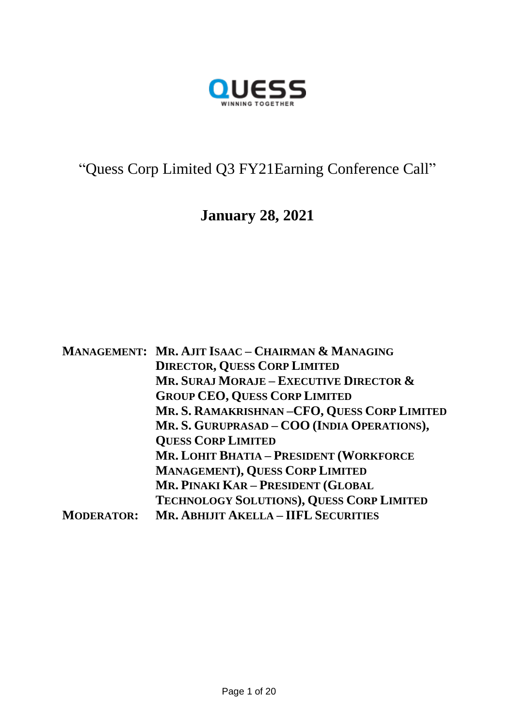

# "Quess Corp Limited Q3 FY21Earning Conference Call"

## **January 28, 2021**

|                   | MANAGEMENT: MR. AJIT ISAAC – CHAIRMAN & MANAGING |
|-------------------|--------------------------------------------------|
|                   | <b>DIRECTOR, QUESS CORP LIMITED</b>              |
|                   | MR. SURAJ MORAJE – EXECUTIVE DIRECTOR $\&$       |
|                   | <b>GROUP CEO, QUESS CORP LIMITED</b>             |
|                   | MR. S. RAMAKRISHNAN-CFO, QUESS CORP LIMITED      |
|                   | MR. S. GURUPRASAD - COO (INDIA OPERATIONS),      |
|                   | <b>QUESS CORP LIMITED</b>                        |
|                   | <b>MR. LOHIT BHATIA - PRESIDENT (WORKFORCE</b>   |
|                   | <b>MANAGEMENT), QUESS CORP LIMITED</b>           |
|                   | MR. PINAKI KAR - PRESIDENT (GLOBAL               |
|                   | TECHNOLOGY SOLUTIONS), QUESS CORP LIMITED        |
| <b>MODERATOR:</b> | <b>MR. ABHIJIT AKELLA - IIFL SECURITIES</b>      |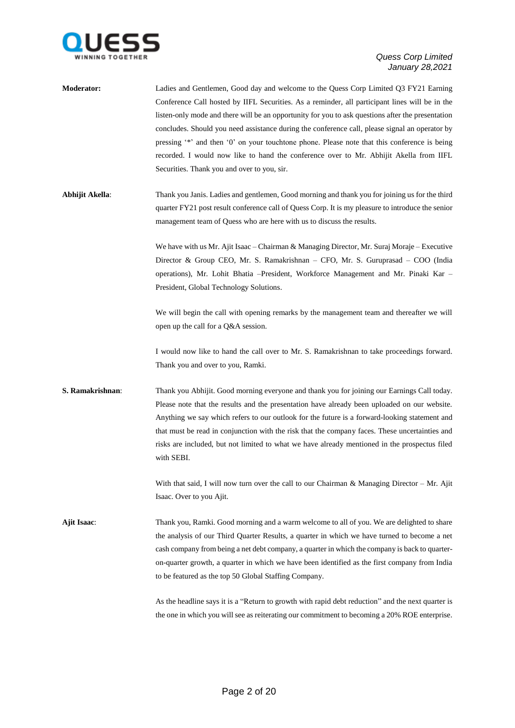

| <b>Moderator:</b> | Ladies and Gentlemen, Good day and welcome to the Quess Corp Limited Q3 FY21 Earning<br>Conference Call hosted by IIFL Securities. As a reminder, all participant lines will be in the<br>listen-only mode and there will be an opportunity for you to ask questions after the presentation<br>concludes. Should you need assistance during the conference call, please signal an operator by                                                                                                                 |
|-------------------|---------------------------------------------------------------------------------------------------------------------------------------------------------------------------------------------------------------------------------------------------------------------------------------------------------------------------------------------------------------------------------------------------------------------------------------------------------------------------------------------------------------|
|                   | pressing '*' and then '0' on your touchtone phone. Please note that this conference is being<br>recorded. I would now like to hand the conference over to Mr. Abhijit Akella from IIFL<br>Securities. Thank you and over to you, sir.                                                                                                                                                                                                                                                                         |
| Abhijit Akella:   | Thank you Janis. Ladies and gentlemen, Good morning and thank you for joining us for the third<br>quarter FY21 post result conference call of Quess Corp. It is my pleasure to introduce the senior<br>management team of Quess who are here with us to discuss the results.                                                                                                                                                                                                                                  |
|                   | We have with us Mr. Ajit Isaac - Chairman & Managing Director, Mr. Suraj Moraje - Executive<br>Director & Group CEO, Mr. S. Ramakrishnan – CFO, Mr. S. Guruprasad – COO (India<br>operations), Mr. Lohit Bhatia - President, Workforce Management and Mr. Pinaki Kar -<br>President, Global Technology Solutions.                                                                                                                                                                                             |
|                   | We will begin the call with opening remarks by the management team and thereafter we will<br>open up the call for a Q&A session.                                                                                                                                                                                                                                                                                                                                                                              |
|                   | I would now like to hand the call over to Mr. S. Ramakrishnan to take proceedings forward.<br>Thank you and over to you, Ramki.                                                                                                                                                                                                                                                                                                                                                                               |
| S. Ramakrishnan:  | Thank you Abhijit. Good morning everyone and thank you for joining our Earnings Call today.<br>Please note that the results and the presentation have already been uploaded on our website.<br>Anything we say which refers to our outlook for the future is a forward-looking statement and<br>that must be read in conjunction with the risk that the company faces. These uncertainties and<br>risks are included, but not limited to what we have already mentioned in the prospectus filed<br>with SEBI. |
|                   | With that said, I will now turn over the call to our Chairman & Managing Director - Mr. Ajit<br>Isaac. Over to you Ajit.                                                                                                                                                                                                                                                                                                                                                                                      |
| Ajit Isaac:       | Thank you, Ramki. Good morning and a warm welcome to all of you. We are delighted to share<br>the analysis of our Third Quarter Results, a quarter in which we have turned to become a net<br>cash company from being a net debt company, a quarter in which the company is back to quarter-<br>on-quarter growth, a quarter in which we have been identified as the first company from India<br>to be featured as the top 50 Global Staffing Company.                                                        |
|                   | As the headline says it is a "Return to growth with rapid debt reduction" and the next quarter is<br>the one in which you will see as reiterating our commitment to becoming a 20% ROE enterprise.                                                                                                                                                                                                                                                                                                            |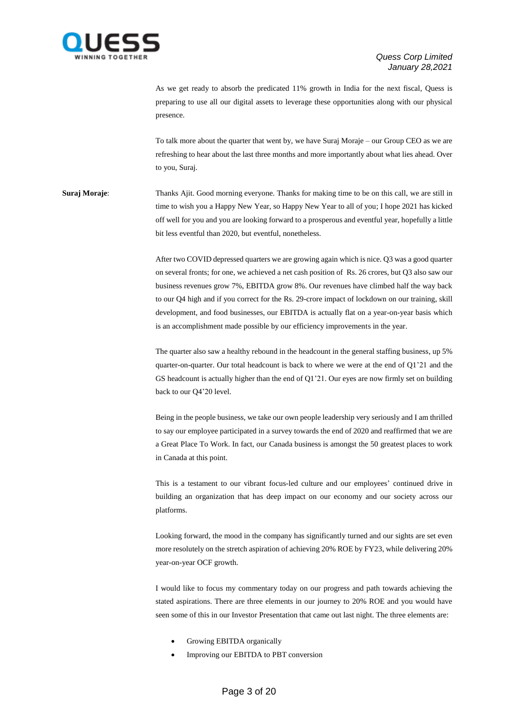

As we get ready to absorb the predicated 11% growth in India for the next fiscal, Quess is preparing to use all our digital assets to leverage these opportunities along with our physical presence.

To talk more about the quarter that went by, we have Suraj Moraje – our Group CEO as we are refreshing to hear about the last three months and more importantly about what lies ahead. Over to you, Suraj.

**Suraj Moraje:** Thanks Ajit. Good morning everyone. Thanks for making time to be on this call, we are still in time to wish you a Happy New Year, so Happy New Year to all of you; I hope 2021 has kicked off well for you and you are looking forward to a prosperous and eventful year, hopefully a little bit less eventful than 2020, but eventful, nonetheless.

> After two COVID depressed quarters we are growing again which is nice. Q3 was a good quarter on several fronts; for one, we achieved a net cash position of Rs. 26 crores, but Q3 also saw our business revenues grow 7%, EBITDA grow 8%. Our revenues have climbed half the way back to our Q4 high and if you correct for the Rs. 29-crore impact of lockdown on our training, skill development, and food businesses, our EBITDA is actually flat on a year-on-year basis which is an accomplishment made possible by our efficiency improvements in the year.

> The quarter also saw a healthy rebound in the headcount in the general staffing business, up 5% quarter-on-quarter. Our total headcount is back to where we were at the end of Q1'21 and the GS headcount is actually higher than the end of Q1'21. Our eyes are now firmly set on building back to our Q4'20 level.

> Being in the people business, we take our own people leadership very seriously and I am thrilled to say our employee participated in a survey towards the end of 2020 and reaffirmed that we are a Great Place To Work. In fact, our Canada business is amongst the 50 greatest places to work in Canada at this point.

> This is a testament to our vibrant focus-led culture and our employees' continued drive in building an organization that has deep impact on our economy and our society across our platforms.

> Looking forward, the mood in the company has significantly turned and our sights are set even more resolutely on the stretch aspiration of achieving 20% ROE by FY23, while delivering 20% year-on-year OCF growth.

> I would like to focus my commentary today on our progress and path towards achieving the stated aspirations. There are three elements in our journey to 20% ROE and you would have seen some of this in our Investor Presentation that came out last night. The three elements are:

- Growing EBITDA organically
- Improving our EBITDA to PBT conversion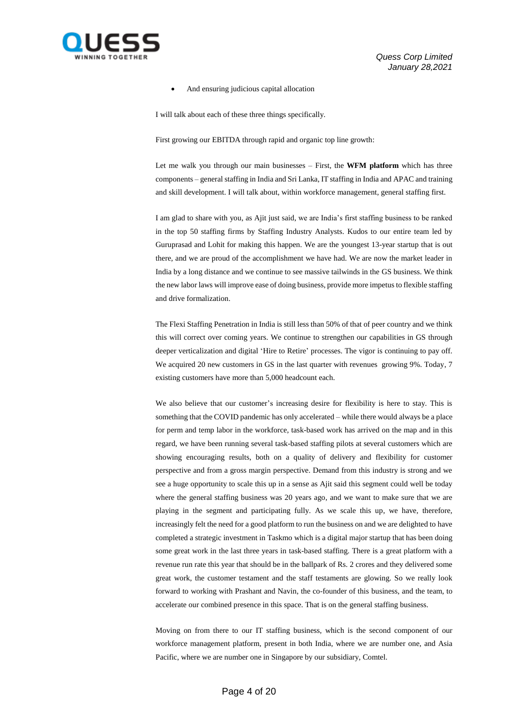

And ensuring judicious capital allocation

I will talk about each of these three things specifically.

First growing our EBITDA through rapid and organic top line growth:

Let me walk you through our main businesses – First, the **WFM platform** which has three components – general staffing in India and Sri Lanka, IT staffing in India and APAC and training and skill development. I will talk about, within workforce management, general staffing first.

I am glad to share with you, as Ajit just said, we are India's first staffing business to be ranked in the top 50 staffing firms by Staffing Industry Analysts. Kudos to our entire team led by Guruprasad and Lohit for making this happen. We are the youngest 13-year startup that is out there, and we are proud of the accomplishment we have had. We are now the market leader in India by a long distance and we continue to see massive tailwinds in the GS business. We think the new labor laws will improve ease of doing business, provide more impetus to flexible staffing and drive formalization.

The Flexi Staffing Penetration in India is still less than 50% of that of peer country and we think this will correct over coming years. We continue to strengthen our capabilities in GS through deeper verticalization and digital 'Hire to Retire' processes. The vigor is continuing to pay off. We acquired 20 new customers in GS in the last quarter with revenues growing 9%. Today, 7 existing customers have more than 5,000 headcount each.

We also believe that our customer's increasing desire for flexibility is here to stay. This is something that the COVID pandemic has only accelerated – while there would always be a place for perm and temp labor in the workforce, task-based work has arrived on the map and in this regard, we have been running several task-based staffing pilots at several customers which are showing encouraging results, both on a quality of delivery and flexibility for customer perspective and from a gross margin perspective. Demand from this industry is strong and we see a huge opportunity to scale this up in a sense as Ajit said this segment could well be today where the general staffing business was 20 years ago, and we want to make sure that we are playing in the segment and participating fully. As we scale this up, we have, therefore, increasingly felt the need for a good platform to run the business on and we are delighted to have completed a strategic investment in Taskmo which is a digital major startup that has been doing some great work in the last three years in task-based staffing. There is a great platform with a revenue run rate this year that should be in the ballpark of Rs. 2 crores and they delivered some great work, the customer testament and the staff testaments are glowing. So we really look forward to working with Prashant and Navin, the co-founder of this business, and the team, to accelerate our combined presence in this space. That is on the general staffing business.

Moving on from there to our IT staffing business, which is the second component of our workforce management platform, present in both India, where we are number one, and Asia Pacific, where we are number one in Singapore by our subsidiary, Comtel.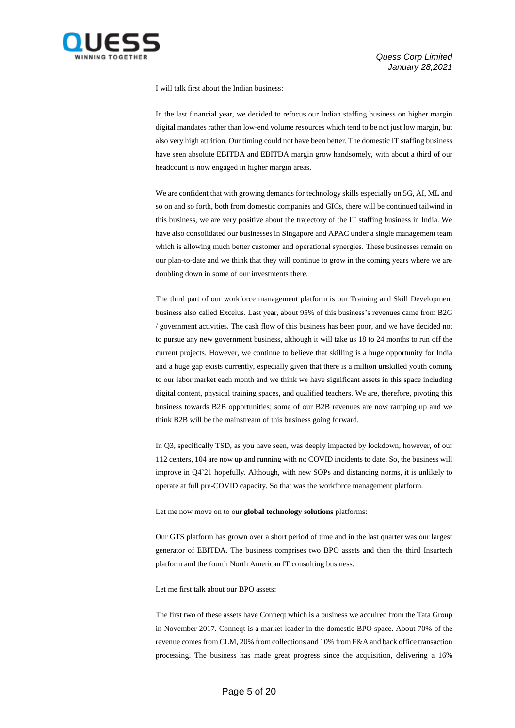

I will talk first about the Indian business:

In the last financial year, we decided to refocus our Indian staffing business on higher margin digital mandates rather than low-end volume resources which tend to be not just low margin, but also very high attrition. Our timing could not have been better. The domestic IT staffing business have seen absolute EBITDA and EBITDA margin grow handsomely, with about a third of our headcount is now engaged in higher margin areas.

We are confident that with growing demands for technology skills especially on 5G, AI, ML and so on and so forth, both from domestic companies and GICs, there will be continued tailwind in this business, we are very positive about the trajectory of the IT staffing business in India. We have also consolidated our businesses in Singapore and APAC under a single management team which is allowing much better customer and operational synergies. These businesses remain on our plan-to-date and we think that they will continue to grow in the coming years where we are doubling down in some of our investments there.

The third part of our workforce management platform is our Training and Skill Development business also called Excelus. Last year, about 95% of this business's revenues came from B2G / government activities. The cash flow of this business has been poor, and we have decided not to pursue any new government business, although it will take us 18 to 24 months to run off the current projects. However, we continue to believe that skilling is a huge opportunity for India and a huge gap exists currently, especially given that there is a million unskilled youth coming to our labor market each month and we think we have significant assets in this space including digital content, physical training spaces, and qualified teachers. We are, therefore, pivoting this business towards B2B opportunities; some of our B2B revenues are now ramping up and we think B2B will be the mainstream of this business going forward.

In Q3, specifically TSD, as you have seen, was deeply impacted by lockdown, however, of our 112 centers, 104 are now up and running with no COVID incidents to date. So, the business will improve in Q4'21 hopefully. Although, with new SOPs and distancing norms, it is unlikely to operate at full pre-COVID capacity. So that was the workforce management platform.

Let me now move on to our **global technology solutions** platforms:

Our GTS platform has grown over a short period of time and in the last quarter was our largest generator of EBITDA. The business comprises two BPO assets and then the third Insurtech platform and the fourth North American IT consulting business.

Let me first talk about our BPO assets:

The first two of these assets have Conneqt which is a business we acquired from the Tata Group in November 2017. Conneqt is a market leader in the domestic BPO space. About 70% of the revenue comes from CLM, 20% from collections and 10% from F&A and back office transaction processing. The business has made great progress since the acquisition, delivering a 16%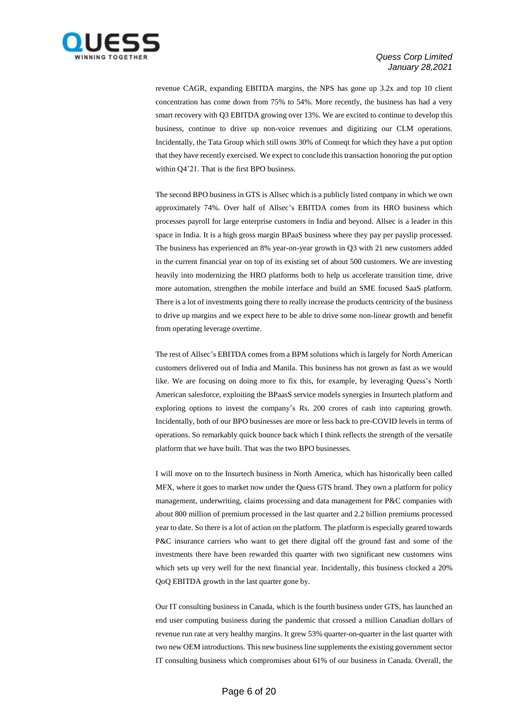

revenue CAGR, expanding EBITDA margins, the NPS has gone up 3.2x and top 10 client concentration has come down from 75% to 54%. More recently, the business has had a very smart recovery with Q3 EBITDA growing over 13%. We are excited to continue to develop this business, continue to drive up non-voice revenues and digitizing our CLM operations. Incidentally, the Tata Group which still owns 30% of Conneqt for which they have a put option that they have recently exercised. We expect to conclude this transaction honoring the put option within Q4'21. That is the first BPO business.

The second BPO business in GTS is Allsec which is a publicly listed company in which we own approximately 74%. Over half of Allsec's EBITDA comes from its HRO business which processes payroll for large enterprise customers in India and beyond. Allsec is a leader in this space in India. It is a high gross margin BPaaS business where they pay per payslip processed. The business has experienced an 8% year-on-year growth in Q3 with 21 new customers added in the current financial year on top of its existing set of about 500 customers. We are investing heavily into modernizing the HRO platforms both to help us accelerate transition time, drive more automation, strengthen the mobile interface and build an SME focused SaaS platform. There is a lot of investments going there to really increase the products centricity of the business to drive up margins and we expect here to be able to drive some non-linear growth and benefit from operating leverage overtime.

The rest of Allsec's EBITDA comes from a BPM solutions which is largely for North American customers delivered out of India and Manila. This business has not grown as fast as we would like. We are focusing on doing more to fix this, for example, by leveraging Quess's North American salesforce, exploiting the BPaasS service models synergies in Insurtech platform and exploring options to invest the company's Rs. 200 crores of cash into capturing growth. Incidentally, both of our BPO businesses are more or less back to pre-COVID levels in terms of operations. So remarkably quick bounce back which I think reflects the strength of the versatile platform that we have built. That was the two BPO businesses.

I will move on to the Insurtech business in North America, which has historically been called MFX, where it goes to market now under the Quess GTS brand. They own a platform for policy management, underwriting, claims processing and data management for P&C companies with about 800 million of premium processed in the last quarter and 2.2 billion premiums processed year to date. So there is a lot of action on the platform. The platform is especially geared towards P&C insurance carriers who want to get there digital off the ground fast and some of the investments there have been rewarded this quarter with two significant new customers wins which sets up very well for the next financial year. Incidentally, this business clocked a 20% QoQ EBITDA growth in the last quarter gone by.

Our IT consulting business in Canada, which is the fourth business under GTS, has launched an end user computing business during the pandemic that crossed a million Canadian dollars of revenue run rate at very healthy margins. It grew 53% quarter-on-quarter in the last quarter with two new OEM introductions. This new business line supplements the existing government sector IT consulting business which compromises about 61% of our business in Canada. Overall, the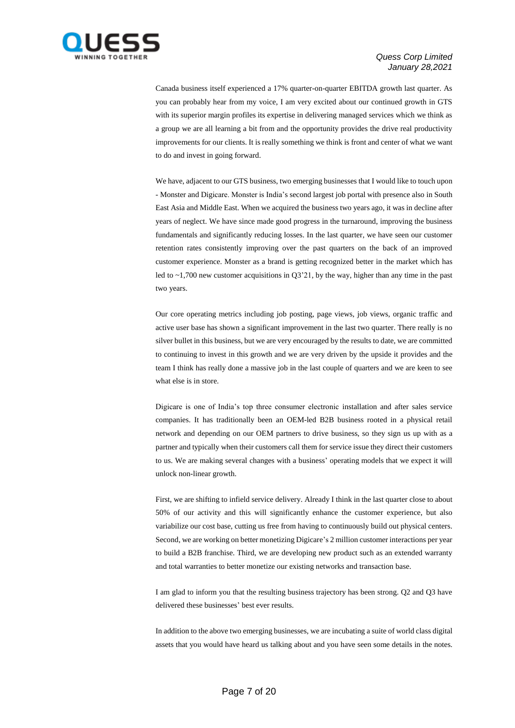

Canada business itself experienced a 17% quarter-on-quarter EBITDA growth last quarter. As you can probably hear from my voice, I am very excited about our continued growth in GTS with its superior margin profiles its expertise in delivering managed services which we think as a group we are all learning a bit from and the opportunity provides the drive real productivity improvements for our clients. It is really something we think is front and center of what we want to do and invest in going forward.

We have, adjacent to our GTS business, two emerging businesses that I would like to touch upon - Monster and Digicare. Monster is India's second largest job portal with presence also in South East Asia and Middle East. When we acquired the business two years ago, it was in decline after years of neglect. We have since made good progress in the turnaround, improving the business fundamentals and significantly reducing losses. In the last quarter, we have seen our customer retention rates consistently improving over the past quarters on the back of an improved customer experience. Monster as a brand is getting recognized better in the market which has led to ~1,700 new customer acquisitions in Q3'21, by the way, higher than any time in the past two years.

Our core operating metrics including job posting, page views, job views, organic traffic and active user base has shown a significant improvement in the last two quarter. There really is no silver bullet in this business, but we are very encouraged by the results to date, we are committed to continuing to invest in this growth and we are very driven by the upside it provides and the team I think has really done a massive job in the last couple of quarters and we are keen to see what else is in store.

Digicare is one of India's top three consumer electronic installation and after sales service companies. It has traditionally been an OEM-led B2B business rooted in a physical retail network and depending on our OEM partners to drive business, so they sign us up with as a partner and typically when their customers call them for service issue they direct their customers to us. We are making several changes with a business' operating models that we expect it will unlock non-linear growth.

First, we are shifting to infield service delivery. Already I think in the last quarter close to about 50% of our activity and this will significantly enhance the customer experience, but also variabilize our cost base, cutting us free from having to continuously build out physical centers. Second, we are working on better monetizing Digicare's 2 million customer interactions per year to build a B2B franchise. Third, we are developing new product such as an extended warranty and total warranties to better monetize our existing networks and transaction base.

I am glad to inform you that the resulting business trajectory has been strong. Q2 and Q3 have delivered these businesses' best ever results.

In addition to the above two emerging businesses, we are incubating a suite of world class digital assets that you would have heard us talking about and you have seen some details in the notes.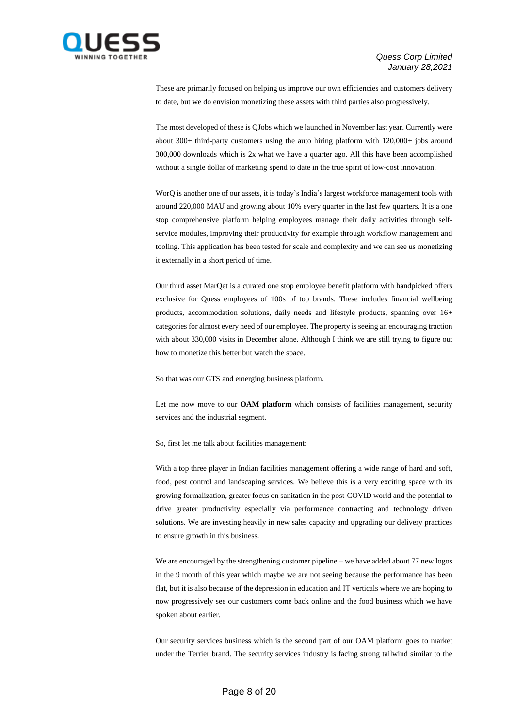

These are primarily focused on helping us improve our own efficiencies and customers delivery to date, but we do envision monetizing these assets with third parties also progressively.

The most developed of these is QJobs which we launched in November last year. Currently were about 300+ third-party customers using the auto hiring platform with 120,000+ jobs around 300,000 downloads which is 2x what we have a quarter ago. All this have been accomplished without a single dollar of marketing spend to date in the true spirit of low-cost innovation.

WorQ is another one of our assets, it is today's India's largest workforce management tools with around 220,000 MAU and growing about 10% every quarter in the last few quarters. It is a one stop comprehensive platform helping employees manage their daily activities through selfservice modules, improving their productivity for example through workflow management and tooling. This application has been tested for scale and complexity and we can see us monetizing it externally in a short period of time.

Our third asset MarQet is a curated one stop employee benefit platform with handpicked offers exclusive for Quess employees of 100s of top brands. These includes financial wellbeing products, accommodation solutions, daily needs and lifestyle products, spanning over 16+ categories for almost every need of our employee. The property is seeing an encouraging traction with about 330,000 visits in December alone. Although I think we are still trying to figure out how to monetize this better but watch the space.

So that was our GTS and emerging business platform.

Let me now move to our **OAM platform** which consists of facilities management, security services and the industrial segment.

So, first let me talk about facilities management:

With a top three player in Indian facilities management offering a wide range of hard and soft, food, pest control and landscaping services. We believe this is a very exciting space with its growing formalization, greater focus on sanitation in the post-COVID world and the potential to drive greater productivity especially via performance contracting and technology driven solutions. We are investing heavily in new sales capacity and upgrading our delivery practices to ensure growth in this business.

We are encouraged by the strengthening customer pipeline – we have added about 77 new logos in the 9 month of this year which maybe we are not seeing because the performance has been flat, but it is also because of the depression in education and IT verticals where we are hoping to now progressively see our customers come back online and the food business which we have spoken about earlier.

Our security services business which is the second part of our OAM platform goes to market under the Terrier brand. The security services industry is facing strong tailwind similar to the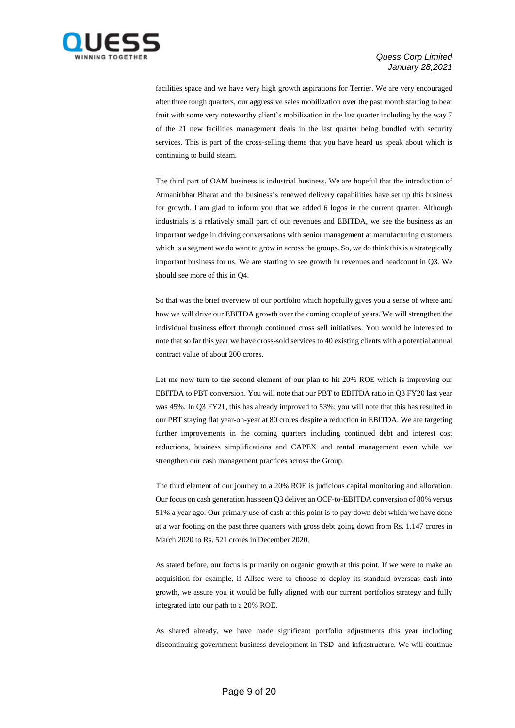

facilities space and we have very high growth aspirations for Terrier. We are very encouraged after three tough quarters, our aggressive sales mobilization over the past month starting to bear fruit with some very noteworthy client's mobilization in the last quarter including by the way 7 of the 21 new facilities management deals in the last quarter being bundled with security services. This is part of the cross-selling theme that you have heard us speak about which is continuing to build steam.

The third part of OAM business is industrial business. We are hopeful that the introduction of Atmanirbhar Bharat and the business's renewed delivery capabilities have set up this business for growth. I am glad to inform you that we added 6 logos in the current quarter. Although industrials is a relatively small part of our revenues and EBITDA, we see the business as an important wedge in driving conversations with senior management at manufacturing customers which is a segment we do want to grow in across the groups. So, we do think this is a strategically important business for us. We are starting to see growth in revenues and headcount in Q3. We should see more of this in Q4.

So that was the brief overview of our portfolio which hopefully gives you a sense of where and how we will drive our EBITDA growth over the coming couple of years. We will strengthen the individual business effort through continued cross sell initiatives. You would be interested to note that so far this year we have cross-sold services to 40 existing clients with a potential annual contract value of about 200 crores.

Let me now turn to the second element of our plan to hit 20% ROE which is improving our EBITDA to PBT conversion. You will note that our PBT to EBITDA ratio in Q3 FY20 last year was 45%. In Q3 FY21, this has already improved to 53%; you will note that this has resulted in our PBT staying flat year-on-year at 80 crores despite a reduction in EBITDA. We are targeting further improvements in the coming quarters including continued debt and interest cost reductions, business simplifications and CAPEX and rental management even while we strengthen our cash management practices across the Group.

The third element of our journey to a 20% ROE is judicious capital monitoring and allocation. Our focus on cash generation has seen Q3 deliver an OCF-to-EBITDA conversion of 80% versus 51% a year ago. Our primary use of cash at this point is to pay down debt which we have done at a war footing on the past three quarters with gross debt going down from Rs. 1,147 crores in March 2020 to Rs. 521 crores in December 2020.

As stated before, our focus is primarily on organic growth at this point. If we were to make an acquisition for example, if Allsec were to choose to deploy its standard overseas cash into growth, we assure you it would be fully aligned with our current portfolios strategy and fully integrated into our path to a 20% ROE.

As shared already, we have made significant portfolio adjustments this year including discontinuing government business development in TSD and infrastructure. We will continue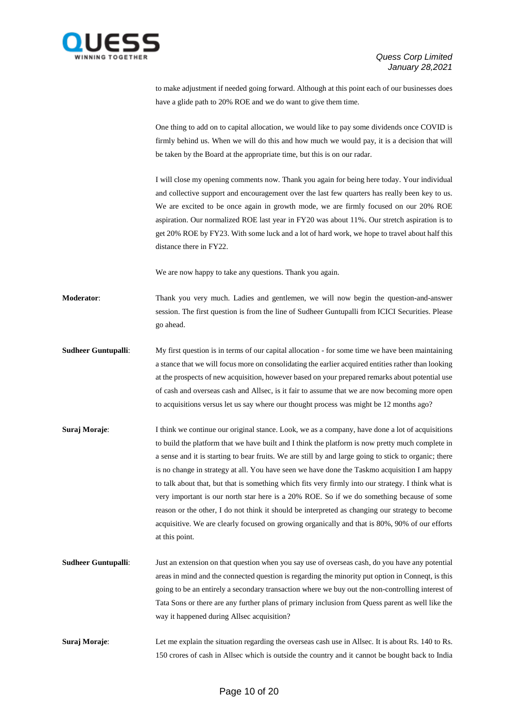

to make adjustment if needed going forward. Although at this point each of our businesses does have a glide path to 20% ROE and we do want to give them time.

One thing to add on to capital allocation, we would like to pay some dividends once COVID is firmly behind us. When we will do this and how much we would pay, it is a decision that will be taken by the Board at the appropriate time, but this is on our radar.

I will close my opening comments now. Thank you again for being here today. Your individual and collective support and encouragement over the last few quarters has really been key to us. We are excited to be once again in growth mode, we are firmly focused on our 20% ROE aspiration. Our normalized ROE last year in FY20 was about 11%. Our stretch aspiration is to get 20% ROE by FY23. With some luck and a lot of hard work, we hope to travel about half this distance there in FY22.

We are now happy to take any questions. Thank you again.

**Moderator**: Thank you very much. Ladies and gentlemen, we will now begin the question-and-answer session. The first question is from the line of Sudheer Guntupalli from ICICI Securities. Please go ahead.

**Sudheer Guntupalli:** My first question is in terms of our capital allocation - for some time we have been maintaining a stance that we will focus more on consolidating the earlier acquired entities rather than looking at the prospects of new acquisition, however based on your prepared remarks about potential use of cash and overseas cash and Allsec, is it fair to assume that we are now becoming more open to acquisitions versus let us say where our thought process was might be 12 months ago?

- **Suraj Moraje:** I think we continue our original stance. Look, we as a company, have done a lot of acquisitions to build the platform that we have built and I think the platform is now pretty much complete in a sense and it is starting to bear fruits. We are still by and large going to stick to organic; there is no change in strategy at all. You have seen we have done the Taskmo acquisition I am happy to talk about that, but that is something which fits very firmly into our strategy. I think what is very important is our north star here is a 20% ROE. So if we do something because of some reason or the other, I do not think it should be interpreted as changing our strategy to become acquisitive. We are clearly focused on growing organically and that is 80%, 90% of our efforts at this point.
- **Sudheer Guntupalli**: Just an extension on that question when you say use of overseas cash, do you have any potential areas in mind and the connected question is regarding the minority put option in Conneqt, is this going to be an entirely a secondary transaction where we buy out the non-controlling interest of Tata Sons or there are any further plans of primary inclusion from Quess parent as well like the way it happened during Allsec acquisition?
- **Suraj Moraje:** Let me explain the situation regarding the overseas cash use in Allsec. It is about Rs. 140 to Rs. 150 crores of cash in Allsec which is outside the country and it cannot be bought back to India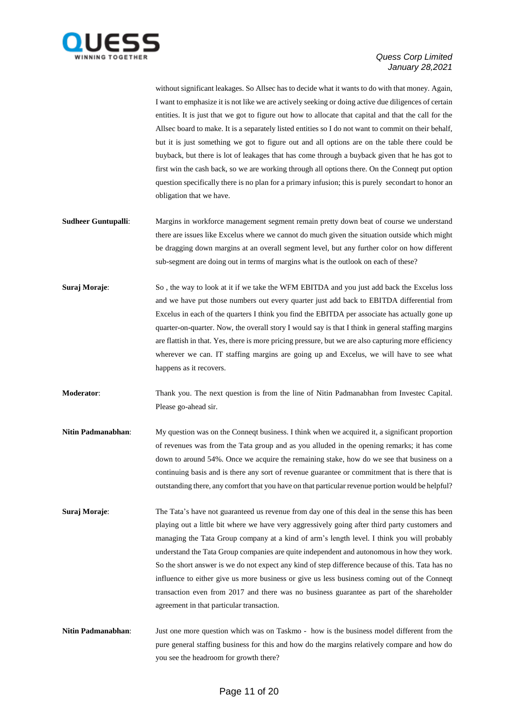

without significant leakages. So Allsec has to decide what it wants to do with that money. Again, I want to emphasize it is not like we are actively seeking or doing active due diligences of certain entities. It is just that we got to figure out how to allocate that capital and that the call for the Allsec board to make. It is a separately listed entities so I do not want to commit on their behalf, but it is just something we got to figure out and all options are on the table there could be buyback, but there is lot of leakages that has come through a buyback given that he has got to first win the cash back, so we are working through all options there. On the Conneqt put option question specifically there is no plan for a primary infusion; this is purely secondart to honor an obligation that we have.

- **Sudheer Guntupalli:** Margins in workforce management segment remain pretty down beat of course we understand there are issues like Excelus where we cannot do much given the situation outside which might be dragging down margins at an overall segment level, but any further color on how different sub-segment are doing out in terms of margins what is the outlook on each of these?
- **Suraj Moraje:** So, the way to look at it if we take the WFM EBITDA and you just add back the Excelus loss and we have put those numbers out every quarter just add back to EBITDA differential from Excelus in each of the quarters I think you find the EBITDA per associate has actually gone up quarter-on-quarter. Now, the overall story I would say is that I think in general staffing margins are flattish in that. Yes, there is more pricing pressure, but we are also capturing more efficiency wherever we can. IT staffing margins are going up and Excelus, we will have to see what happens as it recovers.
- **Moderator**: Thank you. The next question is from the line of Nitin Padmanabhan from Investec Capital. Please go-ahead sir.
- **Nitin Padmanabhan:** My question was on the Conneqt business. I think when we acquired it, a significant proportion of revenues was from the Tata group and as you alluded in the opening remarks; it has come down to around 54%. Once we acquire the remaining stake, how do we see that business on a continuing basis and is there any sort of revenue guarantee or commitment that is there that is outstanding there, any comfort that you have on that particular revenue portion would be helpful?
- **Suraj Moraje:** The Tata's have not guaranteed us revenue from day one of this deal in the sense this has been playing out a little bit where we have very aggressively going after third party customers and managing the Tata Group company at a kind of arm's length level. I think you will probably understand the Tata Group companies are quite independent and autonomous in how they work. So the short answer is we do not expect any kind of step difference because of this. Tata has no influence to either give us more business or give us less business coming out of the Conneqt transaction even from 2017 and there was no business guarantee as part of the shareholder agreement in that particular transaction.
- **Nitin Padmanabhan:** Just one more question which was on Taskmo how is the business model different from the pure general staffing business for this and how do the margins relatively compare and how do you see the headroom for growth there?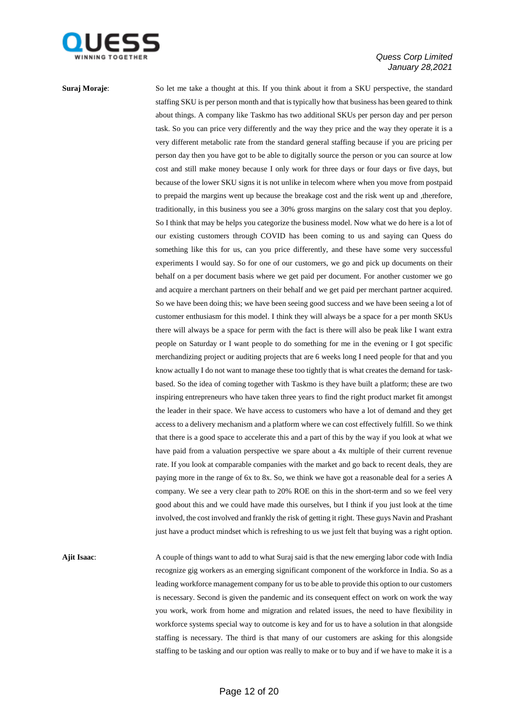

**Suraj Moraje:** So let me take a thought at this. If you think about it from a SKU perspective, the standard staffing SKU is per person month and that is typically how that business has been geared to think about things. A company like Taskmo has two additional SKUs per person day and per person task. So you can price very differently and the way they price and the way they operate it is a very different metabolic rate from the standard general staffing because if you are pricing per person day then you have got to be able to digitally source the person or you can source at low cost and still make money because I only work for three days or four days or five days, but because of the lower SKU signs it is not unlike in telecom where when you move from postpaid to prepaid the margins went up because the breakage cost and the risk went up and ,therefore, traditionally, in this business you see a 30% gross margins on the salary cost that you deploy. So I think that may be helps you categorize the business model. Now what we do here is a lot of our existing customers through COVID has been coming to us and saying can Quess do something like this for us, can you price differently, and these have some very successful experiments I would say. So for one of our customers, we go and pick up documents on their behalf on a per document basis where we get paid per document. For another customer we go and acquire a merchant partners on their behalf and we get paid per merchant partner acquired. So we have been doing this; we have been seeing good success and we have been seeing a lot of customer enthusiasm for this model. I think they will always be a space for a per month SKUs there will always be a space for perm with the fact is there will also be peak like I want extra people on Saturday or I want people to do something for me in the evening or I got specific merchandizing project or auditing projects that are 6 weeks long I need people for that and you know actually I do not want to manage these too tightly that is what creates the demand for taskbased. So the idea of coming together with Taskmo is they have built a platform; these are two inspiring entrepreneurs who have taken three years to find the right product market fit amongst the leader in their space. We have access to customers who have a lot of demand and they get access to a delivery mechanism and a platform where we can cost effectively fulfill. So we think that there is a good space to accelerate this and a part of this by the way if you look at what we have paid from a valuation perspective we spare about a 4x multiple of their current revenue rate. If you look at comparable companies with the market and go back to recent deals, they are paying more in the range of 6x to 8x. So, we think we have got a reasonable deal for a series A company. We see a very clear path to 20% ROE on this in the short-term and so we feel very good about this and we could have made this ourselves, but I think if you just look at the time involved, the cost involved and frankly the risk of getting it right. These guys Navin and Prashant just have a product mindset which is refreshing to us we just felt that buying was a right option.

**Ajit Isaac**: A couple of things want to add to what Suraj said is that the new emerging labor code with India recognize gig workers as an emerging significant component of the workforce in India. So as a leading workforce management company for us to be able to provide this option to our customers is necessary. Second is given the pandemic and its consequent effect on work on work the way you work, work from home and migration and related issues, the need to have flexibility in workforce systems special way to outcome is key and for us to have a solution in that alongside staffing is necessary. The third is that many of our customers are asking for this alongside staffing to be tasking and our option was really to make or to buy and if we have to make it is a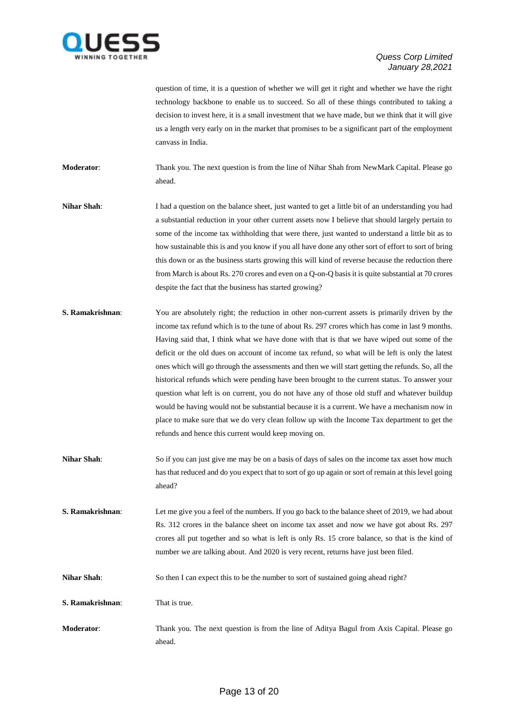

question of time, it is a question of whether we will get it right and whether we have the right technology backbone to enable us to succeed. So all of these things contributed to taking a decision to invest here, it is a small investment that we have made, but we think that it will give us a length very early on in the market that promises to be a significant part of the employment canvass in India.

**Moderator:** Thank you. The next question is from the line of Nihar Shah from NewMark Capital. Please go ahead.

- **Nihar Shah**: I had a question on the balance sheet, just wanted to get a little bit of an understanding you had a substantial reduction in your other current assets now I believe that should largely pertain to some of the income tax withholding that were there, just wanted to understand a little bit as to how sustainable this is and you know if you all have done any other sort of effort to sort of bring this down or as the business starts growing this will kind of reverse because the reduction there from March is about Rs. 270 crores and even on a Q-on-Q basis it is quite substantial at 70 crores despite the fact that the business has started growing?
- **S. Ramakrishnan:** You are absolutely right; the reduction in other non-current assets is primarily driven by the income tax refund which is to the tune of about Rs. 297 crores which has come in last 9 months. Having said that, I think what we have done with that is that we have wiped out some of the deficit or the old dues on account of income tax refund, so what will be left is only the latest ones which will go through the assessments and then we will start getting the refunds. So, all the historical refunds which were pending have been brought to the current status. To answer your question what left is on current, you do not have any of those old stuff and whatever buildup would be having would not be substantial because it is a current. We have a mechanism now in place to make sure that we do very clean follow up with the Income Tax department to get the refunds and hence this current would keep moving on.
- **Nihar Shah**: So if you can just give me may be on a basis of days of sales on the income tax asset how much has that reduced and do you expect that to sort of go up again or sort of remain at this level going ahead?
- **S. Ramakrishnan:** Let me give you a feel of the numbers. If you go back to the balance sheet of 2019, we had about Rs. 312 crores in the balance sheet on income tax asset and now we have got about Rs. 297 crores all put together and so what is left is only Rs. 15 crore balance, so that is the kind of number we are talking about. And 2020 is very recent, returns have just been filed.
- **Nihar Shah**: So then I can expect this to be the number to sort of sustained going ahead right?
- **S. Ramakrishnan**: That is true.
- **Moderator**: Thank you. The next question is from the line of Aditya Bagul from Axis Capital. Please go ahead.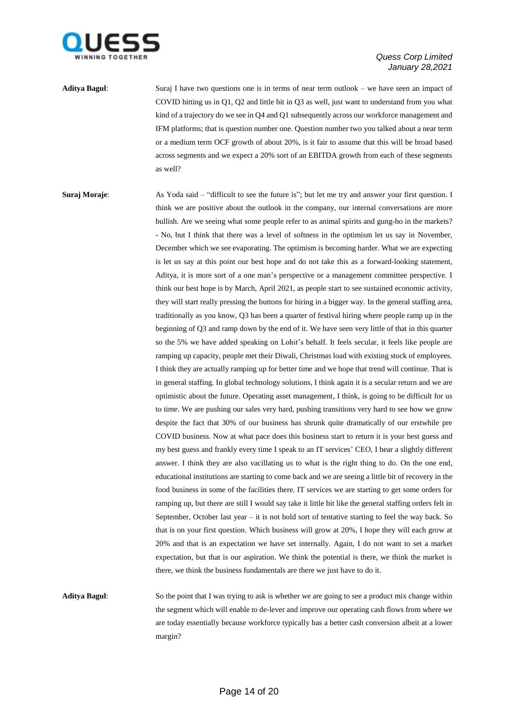

**Aditya Bagul**: Suraj I have two questions one is in terms of near term outlook – we have seen an impact of COVID hitting us in Q1, Q2 and little bit in Q3 as well, just want to understand from you what kind of a trajectory do we see in Q4 and Q1 subsequently across our workforce management and IFM platforms; that is question number one. Question number two you talked about a near term or a medium term OCF growth of about 20%, is it fair to assume that this will be broad based across segments and we expect a 20% sort of an EBITDA growth from each of these segments as well?

**Suraj Moraje:** As Yoda said – "difficult to see the future is"; but let me try and answer your first question. I think we are positive about the outlook in the company, our internal conversations are more bullish. Are we seeing what some people refer to as animal spirits and gung-ho in the markets? - No, but I think that there was a level of softness in the optimism let us say in November, December which we see evaporating. The optimism is becoming harder. What we are expecting is let us say at this point our best hope and do not take this as a forward-looking statement, Aditya, it is more sort of a one man's perspective or a management committee perspective. I think our best hope is by March, April 2021, as people start to see sustained economic activity, they will start really pressing the buttons for hiring in a bigger way. In the general staffing area, traditionally as you know, Q3 has been a quarter of festival hiring where people ramp up in the beginning of Q3 and ramp down by the end of it. We have seen very little of that in this quarter so the 5% we have added speaking on Lohit's behalf. It feels secular, it feels like people are ramping up capacity, people met their Diwali, Christmas load with existing stock of employees. I think they are actually ramping up for better time and we hope that trend will continue. That is in general staffing. In global technology solutions, I think again it is a secular return and we are optimistic about the future. Operating asset management, I think, is going to be difficult for us to time. We are pushing our sales very hard, pushing transitions very hard to see how we grow despite the fact that 30% of our business has shrunk quite dramatically of our erstwhile pre COVID business. Now at what pace does this business start to return it is your best guess and my best guess and frankly every time I speak to an IT services' CEO, I hear a slightly different answer. I think they are also vacillating us to what is the right thing to do. On the one end, educational institutions are starting to come back and we are seeing a little bit of recovery in the food business in some of the facilities there. IT services we are starting to get some orders for ramping up, but there are still I would say take it little bit like the general staffing orders felt in September, October last year – it is not bold sort of tentative starting to feel the way back. So that is on your first question. Which business will grow at 20%, I hope they will each grow at 20% and that is an expectation we have set internally. Again, I do not want to set a market expectation, but that is our aspiration. We think the potential is there, we think the market is there, we think the business fundamentals are there we just have to do it.

**Aditya Bagul**: So the point that I was trying to ask is whether we are going to see a product mix change within the segment which will enable to de-lever and improve our operating cash flows from where we are today essentially because workforce typically has a better cash conversion albeit at a lower margin?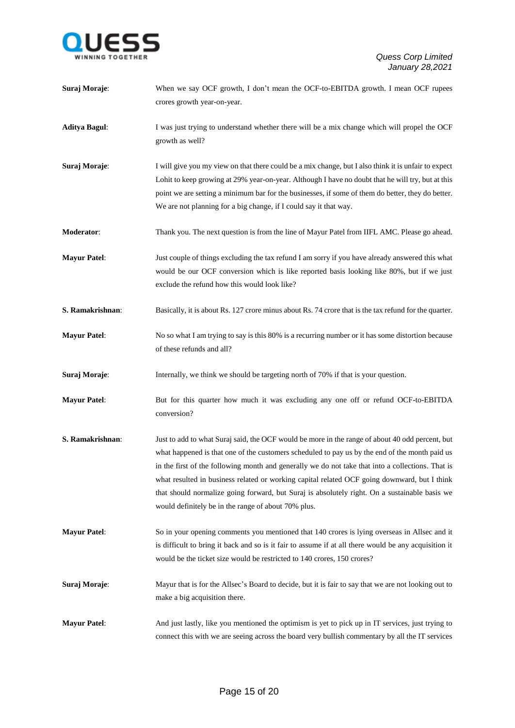

| Suraj Moraje:        | When we say OCF growth, I don't mean the OCF-to-EBITDA growth. I mean OCF rupees<br>crores growth year-on-year.                                                                                                                                                                                                                                                                                                                                                                                                                                                |
|----------------------|----------------------------------------------------------------------------------------------------------------------------------------------------------------------------------------------------------------------------------------------------------------------------------------------------------------------------------------------------------------------------------------------------------------------------------------------------------------------------------------------------------------------------------------------------------------|
| <b>Aditya Bagul:</b> | I was just trying to understand whether there will be a mix change which will propel the OCF<br>growth as well?                                                                                                                                                                                                                                                                                                                                                                                                                                                |
| Suraj Moraje:        | I will give you my view on that there could be a mix change, but I also think it is unfair to expect<br>Lohit to keep growing at 29% year-on-year. Although I have no doubt that he will try, but at this<br>point we are setting a minimum bar for the businesses, if some of them do better, they do better.<br>We are not planning for a big change, if I could say it that way.                                                                                                                                                                            |
| Moderator:           | Thank you. The next question is from the line of Mayur Patel from IIFL AMC. Please go ahead.                                                                                                                                                                                                                                                                                                                                                                                                                                                                   |
| <b>Mayur Patel:</b>  | Just couple of things excluding the tax refund I am sorry if you have already answered this what<br>would be our OCF conversion which is like reported basis looking like 80%, but if we just<br>exclude the refund how this would look like?                                                                                                                                                                                                                                                                                                                  |
| S. Ramakrishnan:     | Basically, it is about Rs. 127 crore minus about Rs. 74 crore that is the tax refund for the quarter.                                                                                                                                                                                                                                                                                                                                                                                                                                                          |
| <b>Mayur Patel:</b>  | No so what I am trying to say is this 80% is a recurring number or it has some distortion because<br>of these refunds and all?                                                                                                                                                                                                                                                                                                                                                                                                                                 |
| Suraj Moraje:        | Internally, we think we should be targeting north of 70% if that is your question.                                                                                                                                                                                                                                                                                                                                                                                                                                                                             |
| <b>Mayur Patel:</b>  | But for this quarter how much it was excluding any one off or refund OCF-to-EBITDA<br>conversion?                                                                                                                                                                                                                                                                                                                                                                                                                                                              |
| S. Ramakrishnan:     | Just to add to what Suraj said, the OCF would be more in the range of about 40 odd percent, but<br>what happened is that one of the customers scheduled to pay us by the end of the month paid us<br>in the first of the following month and generally we do not take that into a collections. That is<br>what resulted in business related or working capital related OCF going downward, but I think<br>that should normalize going forward, but Suraj is absolutely right. On a sustainable basis we<br>would definitely be in the range of about 70% plus. |
| <b>Mayur Patel:</b>  | So in your opening comments you mentioned that 140 crores is lying overseas in Allsec and it<br>is difficult to bring it back and so is it fair to assume if at all there would be any acquisition it<br>would be the ticket size would be restricted to 140 crores, 150 crores?                                                                                                                                                                                                                                                                               |
| Suraj Moraje:        | Mayur that is for the Allsec's Board to decide, but it is fair to say that we are not looking out to<br>make a big acquisition there.                                                                                                                                                                                                                                                                                                                                                                                                                          |
| <b>Mayur Patel:</b>  | And just lastly, like you mentioned the optimism is yet to pick up in IT services, just trying to<br>connect this with we are seeing across the board very bullish commentary by all the IT services                                                                                                                                                                                                                                                                                                                                                           |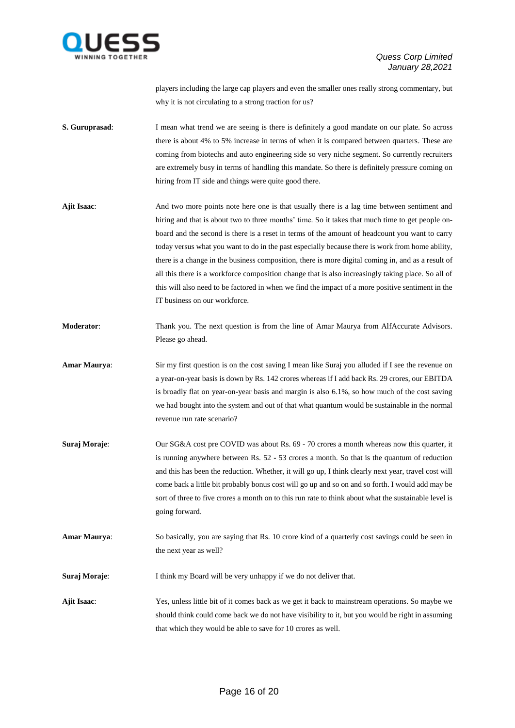

players including the large cap players and even the smaller ones really strong commentary, but why it is not circulating to a strong traction for us?

- **S. Guruprasad**: I mean what trend we are seeing is there is definitely a good mandate on our plate. So across there is about 4% to 5% increase in terms of when it is compared between quarters. These are coming from biotechs and auto engineering side so very niche segment. So currently recruiters are extremely busy in terms of handling this mandate. So there is definitely pressure coming on hiring from IT side and things were quite good there.
- **Ajit Isaac**: And two more points note here one is that usually there is a lag time between sentiment and hiring and that is about two to three months' time. So it takes that much time to get people onboard and the second is there is a reset in terms of the amount of headcount you want to carry today versus what you want to do in the past especially because there is work from home ability, there is a change in the business composition, there is more digital coming in, and as a result of all this there is a workforce composition change that is also increasingly taking place. So all of this will also need to be factored in when we find the impact of a more positive sentiment in the IT business on our workforce.
- **Moderator**: Thank you. The next question is from the line of Amar Maurya from AlfAccurate Advisors. Please go ahead.
- **Amar Maurya**: Sir my first question is on the cost saving I mean like Suraj you alluded if I see the revenue on a year-on-year basis is down by Rs. 142 crores whereas if I add back Rs. 29 crores, our EBITDA is broadly flat on year-on-year basis and margin is also 6.1%, so how much of the cost saving we had bought into the system and out of that what quantum would be sustainable in the normal revenue run rate scenario?
- **Suraj Moraje**: Our SG&A cost pre COVID was about Rs. 69 70 crores a month whereas now this quarter, it is running anywhere between Rs. 52 - 53 crores a month. So that is the quantum of reduction and this has been the reduction. Whether, it will go up, I think clearly next year, travel cost will come back a little bit probably bonus cost will go up and so on and so forth. I would add may be sort of three to five crores a month on to this run rate to think about what the sustainable level is going forward.
- **Amar Maurya**: So basically, you are saying that Rs. 10 crore kind of a quarterly cost savings could be seen in the next year as well?
- **Suraj Moraje:** I think my Board will be very unhappy if we do not deliver that.
- **Ajit Isaac**: Yes, unless little bit of it comes back as we get it back to mainstream operations. So maybe we should think could come back we do not have visibility to it, but you would be right in assuming that which they would be able to save for 10 crores as well.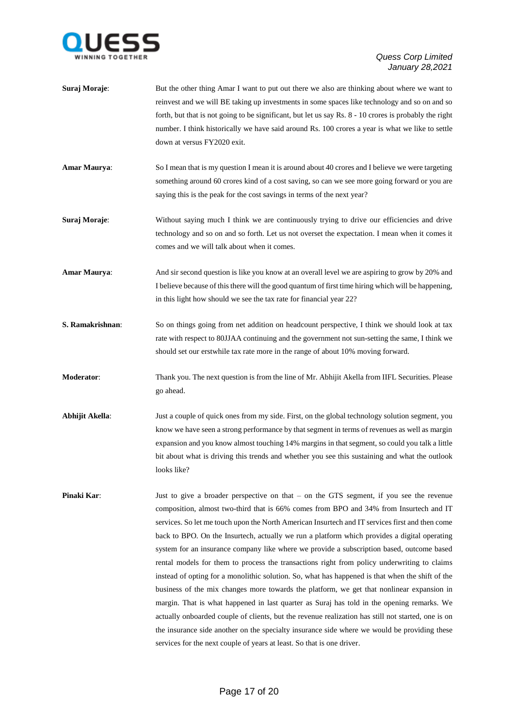

- **Suraj Moraje:** But the other thing Amar I want to put out there we also are thinking about where we want to reinvest and we will BE taking up investments in some spaces like technology and so on and so forth, but that is not going to be significant, but let us say Rs. 8 - 10 crores is probably the right number. I think historically we have said around Rs. 100 crores a year is what we like to settle down at versus FY2020 exit.
- **Amar Maurya:** So I mean that is my question I mean it is around about 40 crores and I believe we were targeting something around 60 crores kind of a cost saving, so can we see more going forward or you are saying this is the peak for the cost savings in terms of the next year?
- **Suraj Moraje:** Without saying much I think we are continuously trying to drive our efficiencies and drive technology and so on and so forth. Let us not overset the expectation. I mean when it comes it comes and we will talk about when it comes.
- **Amar Maurya:** And sir second question is like you know at an overall level we are aspiring to grow by 20% and I believe because of this there will the good quantum of first time hiring which will be happening, in this light how should we see the tax rate for financial year 22?
- **S. Ramakrishnan:** So on things going from net addition on headcount perspective, I think we should look at tax rate with respect to 80JJAA continuing and the government not sun-setting the same, I think we should set our erstwhile tax rate more in the range of about 10% moving forward.
- **Moderator**: Thank you. The next question is from the line of Mr. Abhijit Akella from IIFL Securities. Please go ahead.
- **Abhijit Akella**: Just a couple of quick ones from my side. First, on the global technology solution segment, you know we have seen a strong performance by that segment in terms of revenues as well as margin expansion and you know almost touching 14% margins in that segment, so could you talk a little bit about what is driving this trends and whether you see this sustaining and what the outlook looks like?
- **Pinaki Kar:** Just to give a broader perspective on that on the GTS segment, if you see the revenue composition, almost two-third that is 66% comes from BPO and 34% from Insurtech and IT services. So let me touch upon the North American Insurtech and IT services first and then come back to BPO. On the Insurtech, actually we run a platform which provides a digital operating system for an insurance company like where we provide a subscription based, outcome based rental models for them to process the transactions right from policy underwriting to claims instead of opting for a monolithic solution. So, what has happened is that when the shift of the business of the mix changes more towards the platform, we get that nonlinear expansion in margin. That is what happened in last quarter as Suraj has told in the opening remarks. We actually onboarded couple of clients, but the revenue realization has still not started, one is on the insurance side another on the specialty insurance side where we would be providing these services for the next couple of years at least. So that is one driver.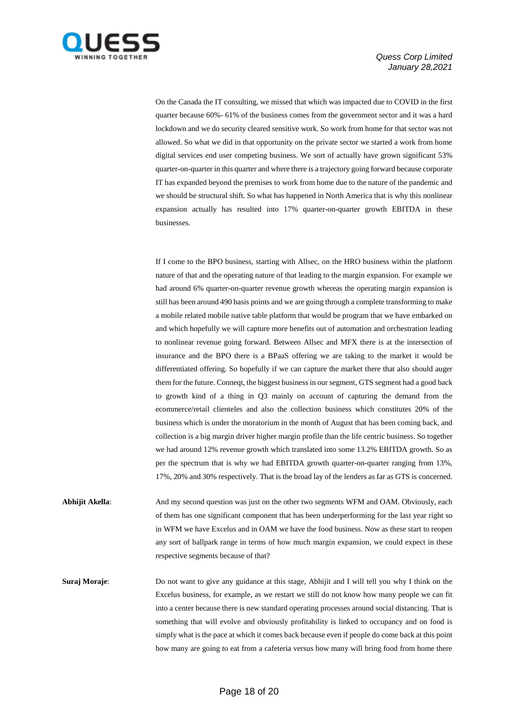

On the Canada the IT consulting, we missed that which was impacted due to COVID in the first quarter because 60%- 61% of the business comes from the government sector and it was a hard lockdown and we do security cleared sensitive work. So work from home for that sector was not allowed. So what we did in that opportunity on the private sector we started a work from home digital services end user competing business. We sort of actually have grown significant 53% quarter-on-quarter in this quarter and where there is a trajectory going forward because corporate IT has expanded beyond the premises to work from home due to the nature of the pandemic and we should be structural shift. So what has happened in North America that is why this nonlinear expansion actually has resulted into 17% quarter-on-quarter growth EBITDA in these businesses.

If I come to the BPO business, starting with Allsec, on the HRO business within the platform nature of that and the operating nature of that leading to the margin expansion. For example we had around 6% quarter-on-quarter revenue growth whereas the operating margin expansion is still has been around 490 basis points and we are going through a complete transforming to make a mobile related mobile native table platform that would be program that we have embarked on and which hopefully we will capture more benefits out of automation and orchestration leading to nonlinear revenue going forward. Between Allsec and MFX there is at the intersection of insurance and the BPO there is a BPaaS offering we are taking to the market it would be differentiated offering. So hopefully if we can capture the market there that also should auger them for the future. Conneqt, the biggest business in our segment, GTS segment had a good back to growth kind of a thing in Q3 mainly on account of capturing the demand from the ecommerce/retail clienteles and also the collection business which constitutes 20% of the business which is under the moratorium in the month of August that has been coming back, and collection is a big margin driver higher margin profile than the life centric business. So together we had around 12% revenue growth which translated into some 13.2% EBITDA growth. So as per the spectrum that is why we had EBITDA growth quarter-on-quarter ranging from 13%, 17%, 20% and 30% respectively. That is the broad lay of the lenders as far as GTS is concerned.

**Abhijit Akella**: And my second question was just on the other two segments WFM and OAM. Obviously, each of them has one significant component that has been underperforming for the last year right so in WFM we have Excelus and in OAM we have the food business. Now as these start to reopen any sort of ballpark range in terms of how much margin expansion, we could expect in these respective segments because of that?

**Suraj Moraje:** Do not want to give any guidance at this stage, Abhijit and I will tell you why I think on the Excelus business, for example, as we restart we still do not know how many people we can fit into a center because there is new standard operating processes around social distancing. That is something that will evolve and obviously profitability is linked to occupancy and on food is simply what is the pace at which it comes back because even if people do come back at this point how many are going to eat from a cafeteria versus how many will bring food from home there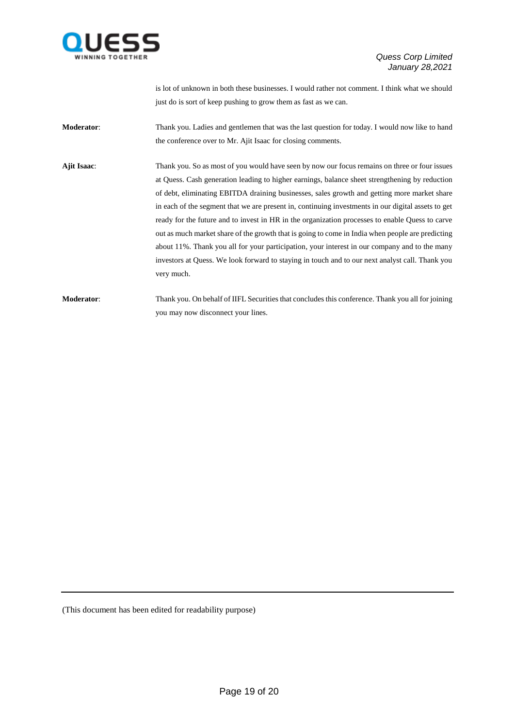

is lot of unknown in both these businesses. I would rather not comment. I think what we should just do is sort of keep pushing to grow them as fast as we can.

**Moderator**: Thank you. Ladies and gentlemen that was the last question for today. I would now like to hand the conference over to Mr. Ajit Isaac for closing comments.

**Ajit Isaac**: Thank you. So as most of you would have seen by now our focus remains on three or four issues at Quess. Cash generation leading to higher earnings, balance sheet strengthening by reduction of debt, eliminating EBITDA draining businesses, sales growth and getting more market share in each of the segment that we are present in, continuing investments in our digital assets to get ready for the future and to invest in HR in the organization processes to enable Quess to carve out as much market share of the growth that is going to come in India when people are predicting about 11%. Thank you all for your participation, your interest in our company and to the many investors at Quess. We look forward to staying in touch and to our next analyst call. Thank you very much.

**Moderator**: Thank you. On behalf of IIFL Securities that concludes this conference. Thank you all for joining you may now disconnect your lines.

(This document has been edited for readability purpose)